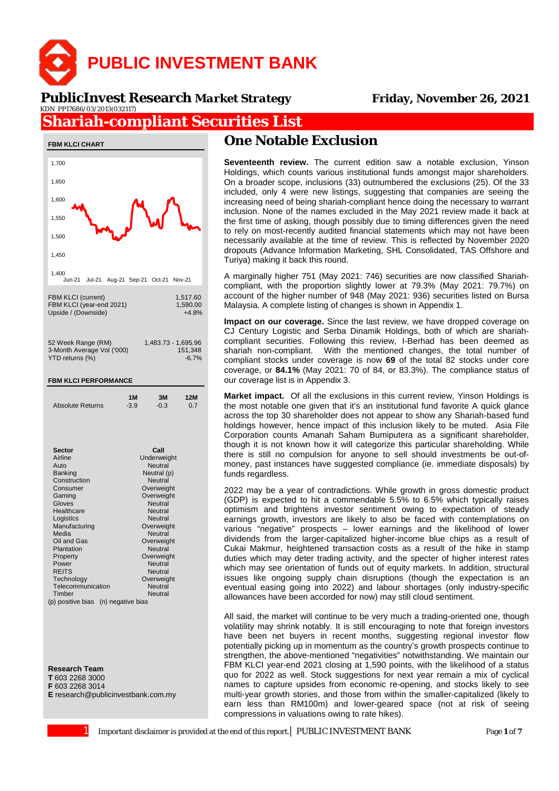

#### **PublicInvest Research** *Market Strategy* **Friday, November 26, 2021**KDN PP17686/03/2013(032117)

# **Shariah-compliant Securities List**



**Research Team**

**T** 603 2268 3000 **F** 603 2268 3014

**E** research@publicinvestbank.com.my

# **One Notable Exclusion**

**Seventeenth review.** The current edition saw a notable exclusion, Yinson Holdings, which counts various institutional funds amongst major shareholders. On a broader scope, inclusions (33) outnumbered the exclusions (25). Of the 33 included, only 4 were new listings, suggesting that companies are seeing the increasing need of being shariah-compliant hence doing the necessary to warrant inclusion. None of the names excluded in the May 2021 review made it back at the first time of asking, though possibly due to timing differences given the need to rely on most-recently audited financial statements which may not have been necessarily available at the time of review. This is reflected by November 2020 dropouts (Advance Information Marketing, SHL Consolidated, TAS Offshore and Turiya) making it back this round.

A marginally higher 751 (May 2021: 746) securities are now classified Shariahcompliant, with the proportion slightly lower at 79.3% (May 2021: 79.7%) on account of the higher number of 948 (May 2021: 936) securities listed on Bursa Malaysia. A complete listing of changes is shown in Appendix 1.

**Impact on our coverage.** Since the last review, we have dropped coverage on CJ Century Logistic and Serba Dinamik Holdings, both of which are shariahcompliant securities. Following this review, I-Berhad has been deemed as shariah non-compliant. With the mentioned changes, the total number of compliant stocks under coverage is now **69** of the total 82 stocks under core coverage, or **84.1%** (May 2021: 70 of 84, or 83.3%). The compliance status of our coverage list is in Appendix 3.

**Market impact.** Of all the exclusions in this current review, Yinson Holdings is the most notable one given that it's an institutional fund favorite A quick glance across the top 30 shareholder does not appear to show any Shariah-based fund holdings however, hence impact of this inclusion likely to be muted. Asia File Corporation counts Amanah Saham Bumiputera as a significant shareholder, though it is not known how it will categorize this particular shareholding. While there is still no compulsion for anyone to sell should investments be out-ofmoney, past instances have suggested compliance (ie. immediate disposals) by funds regardless.

2022 may be a year of contradictions. While growth in gross domestic product (GDP) is expected to hit a commendable 5.5% to 6.5% which typically raises optimism and brightens investor sentiment owing to expectation of steady earnings growth, investors are likely to also be faced with contemplations on various "negative" prospects – lower earnings and the likelihood of lower dividends from the larger-capitalized higher-income blue chips as a result of Cukai Makmur, heightened transaction costs as a result of the hike in stamp duties which may deter trading activity, and the specter of higher interest rates which may see orientation of funds out of equity markets. In addition, structural issues like ongoing supply chain disruptions (though the expectation is an eventual easing going into 2022) and labour shortages (only industry-specific allowances have been accorded for now) may still cloud sentiment.

All said, the market will continue to be very much a trading-oriented one, though volatility may shrink notably. It is still encouraging to note that foreign investors have been net buyers in recent months, suggesting regional investor flow potentially picking up in momentum as the country's growth prospects continue to strengthen, the above-mentioned "negativities" notwithstanding. We maintain our FBM KLCI year-end 2021 closing at 1,590 points, with the likelihood of a status quo for 2022 as well. Stock suggestions for next year remain a mix of cyclical names to capture upsides from economic re-opening, and stocks likely to see multi-year growth stories, and those from within the smaller-capitalized (likely to earn less than RM100m) and lower-geared space (not at risk of seeing compressions in valuations owing to rate hikes).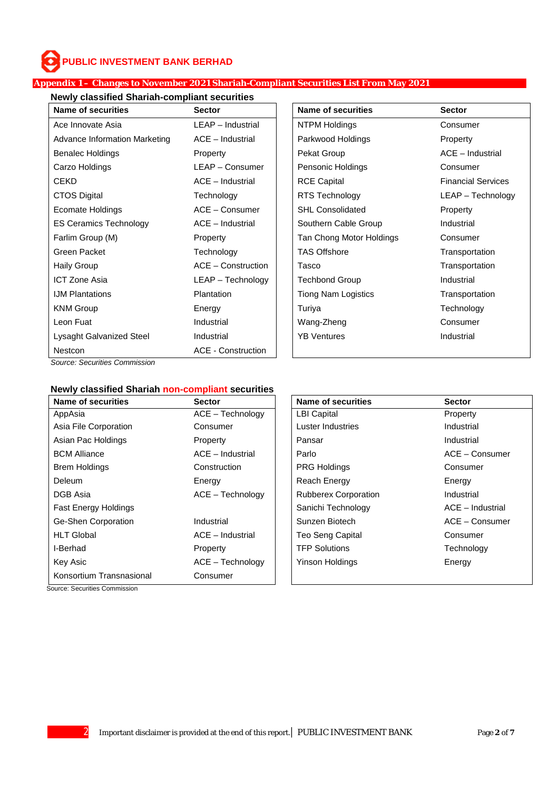### **Appendix 1 – Changes to November 2021 Shariah-Compliant Securities List From May 2021**

### **Newly classified Shariah-compliant securities**

| Name of securities            | <b>Sector</b>             | Name of securities       | <b>Sector</b>             |
|-------------------------------|---------------------------|--------------------------|---------------------------|
| Ace Innovate Asia             | LEAP - Industrial         | NTPM Holdings            | Consumer                  |
| Advance Information Marketing | ACE - Industrial          | Parkwood Holdings        | Property                  |
| <b>Benalec Holdings</b>       | Property                  | Pekat Group              | $ACE - Industrial$        |
| Carzo Holdings                | LEAP - Consumer           | Pensonic Holdings        | Consumer                  |
| <b>CEKD</b>                   | $ACE - Industrial$        | <b>RCE Capital</b>       | <b>Financial Services</b> |
| <b>CTOS Digital</b>           | Technology                | RTS Technology           | LEAP - Technoloo          |
| Ecomate Holdings              | $ACE - Consumer$          | <b>SHL Consolidated</b>  | Property                  |
| <b>ES Ceramics Technology</b> | $ACE - Industrial$        | Southern Cable Group     | <b>Industrial</b>         |
| Farlim Group (M)              | Property                  | Tan Chong Motor Holdings | Consumer                  |
| Green Packet                  | Technology                | <b>TAS Offshore</b>      | Transportation            |
| <b>Haily Group</b>            | ACE - Construction        | Tasco                    | Transportation            |
| <b>ICT Zone Asia</b>          | LEAP - Technology         | <b>Techbond Group</b>    | Industrial                |
| <b>IJM Plantations</b>        | <b>Plantation</b>         | Tiong Nam Logistics      | Transportation            |
| <b>KNM Group</b>              | Energy                    | Turiya                   | Technology                |
| Leon Fuat                     | Industrial                | Wang-Zheng               | Consumer                  |
| Lysaght Galvanized Steel      | Industrial                | <b>YB Ventures</b>       | Industrial                |
| Nestcon                       | <b>ACE - Construction</b> |                          |                           |

| <b>Name of securities</b><br><b>Sector</b> |                                             | <b>Name of securities</b>           | <b>Sector</b>             |  |
|--------------------------------------------|---------------------------------------------|-------------------------------------|---------------------------|--|
| Ace Innovate Asia                          | LEAP - Industrial                           | NTPM Holdings                       | Consumer                  |  |
| Advance Information Marketing              | $ACE - Industrial$                          | Parkwood Holdings                   | Property                  |  |
| Benalec Holdings                           | Property                                    | Pekat Group                         | $ACE - Industrial$        |  |
| Carzo Holdings                             | LEAP - Consumer<br>Pensonic Holdings        |                                     | Consumer                  |  |
| CEKD                                       | $ACE - Industrial$<br><b>RCE Capital</b>    |                                     | <b>Financial Services</b> |  |
| CTOS Digital                               | Technology                                  | RTS Technology<br>LEAP - Technology |                           |  |
| Ecomate Holdings                           | <b>SHL Consolidated</b><br>$ACE - Consumer$ |                                     | Property                  |  |
| <b>ES Ceramics Technology</b>              | $ACE - Industrial$                          | Southern Cable Group                | Industrial                |  |
| Farlim Group (M)                           | Property                                    | Tan Chong Motor Holdings            | Consumer                  |  |
| Green Packet                               | Technology                                  | <b>TAS Offshore</b>                 | Transportation            |  |
| Haily Group                                | $ACE - Construction$                        | Tasco                               | Transportation            |  |
| ICT Zone Asia                              | LEAP - Technology                           | <b>Techbond Group</b>               | <b>Industrial</b>         |  |
| <b>IJM Plantations</b>                     | Plantation                                  | <b>Tiong Nam Logistics</b>          | Transportation            |  |
| KNM Group                                  | Energy                                      | Turiya                              | Technology                |  |
| Leon Fuat                                  | Industrial                                  | Wang-Zheng                          | Consumer                  |  |
| Lysaght Galvanized Steel                   | Industrial                                  | <b>YB Ventures</b><br>Industrial    |                           |  |
|                                            |                                             |                                     |                           |  |

*Source: Securities Commission*

## **Newly classified Shariah non-compliant securities**

| <b>Name of securities</b>   | <b>Sector</b>    | <b>Name of securities</b>   | <b>Sector</b>      |
|-----------------------------|------------------|-----------------------------|--------------------|
| AppAsia                     | ACE - Technology | <b>LBI Capital</b>          | Property           |
| Asia File Corporation       | Consumer         | Luster Industries           | Industrial         |
| Asian Pac Holdings          | Property         | Pansar                      | Industrial         |
| <b>BCM Alliance</b>         | ACE - Industrial | Parlo                       | $ACE - Consumer$   |
| <b>Brem Holdings</b>        | Construction     | <b>PRG Holdings</b>         | Consumer           |
| <b>Deleum</b>               | Energy           | <b>Reach Energy</b>         | Energy             |
| DGB Asia                    | ACE - Technology | <b>Rubberex Corporation</b> | Industrial         |
| <b>Fast Energy Holdings</b> |                  | Sanichi Technology          | $ACE - Industrial$ |
| Ge-Shen Corporation         | Industrial       | Sunzen Biotech              | ACE - Consumer     |
| <b>HLT Global</b>           | ACE - Industrial | Teo Seng Capital            | Consumer           |
| I-Berhad                    | Property         | <b>TFP Solutions</b>        | Technology         |
| Key Asic                    | ACE - Technology | <b>Yinson Holdings</b>      | Energy             |
| Konsortium Transnasional    | Consumer         |                             |                    |

Source: Securities Commission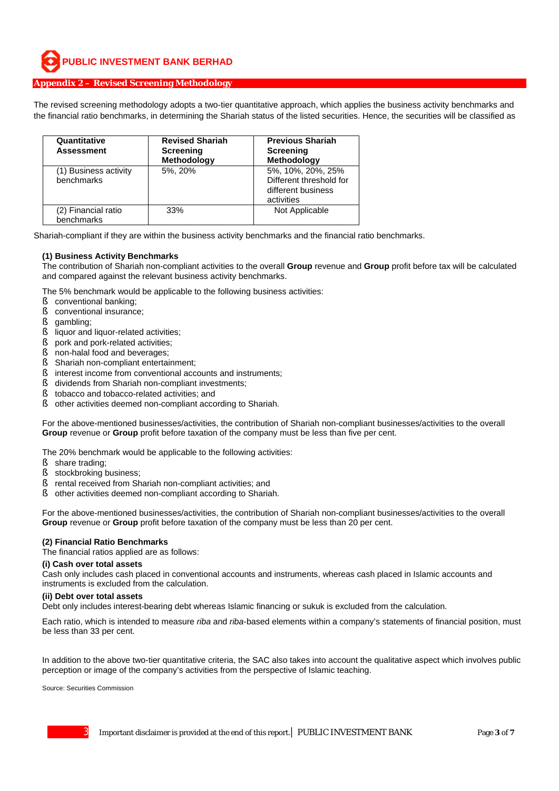### **Appendix 2 – Revised Screening Methodology**

The revised screening methodology adopts a two-tier quantitative approach, which applies the business activity benchmarks and the financial ratio benchmarks, in determining the Shariah status of the listed securities. Hence, the securities will be classified as

| Quantitative<br><b>Assessment</b>   | <b>Revised Shariah</b><br><b>Screening</b><br>Methodology | <b>Previous Shariah</b><br><b>Screening</b><br><b>Methodology</b>                |
|-------------------------------------|-----------------------------------------------------------|----------------------------------------------------------------------------------|
| (1) Business activity<br>benchmarks | 5%, 20%                                                   | 5%, 10%, 20%, 25%<br>Different threshold for<br>different business<br>activities |
| (2) Financial ratio<br>benchmarks   | 33%                                                       | Not Applicable                                                                   |

Shariah-compliant if they are within the business activity benchmarks and the financial ratio benchmarks.

#### **(1) Business Activity Benchmarks**

The contribution of Shariah non-compliant activities to the overall **Group** revenue and **Group** profit before tax will be calculated and compared against the relevant business activity benchmarks.

The 5% benchmark would be applicable to the following business activities:

- **§** conventional banking:
- § conventional insurance;
- § gambling:
- § liquor and liquor-related activities;
- § pork and pork-related activities;
- § non-halal food and beverages;
- § Shariah non-compliant entertainment;
- § interest income from conventional accounts and instruments;
- § dividends from Shariah non-compliant investments;
- § tobacco and tobacco-related activities; and
- § other activities deemed non-compliant according to Shariah.

For the above-mentioned businesses/activities, the contribution of Shariah non-compliant businesses/activities to the overall **Group** revenue or **Group** profit before taxation of the company must be less than five per cent.

The 20% benchmark would be applicable to the following activities:

- § share trading;
- § stockbroking business;
- § rental received from Shariah non-compliant activities; and
- § other activities deemed non-compliant according to Shariah.

For the above-mentioned businesses/activities, the contribution of Shariah non-compliant businesses/activities to the overall **Group** revenue or **Group** profit before taxation of the company must be less than 20 per cent.

#### **(2) Financial Ratio Benchmarks**

The financial ratios applied are as follows:

#### **(i) Cash over total assets**

Cash only includes cash placed in conventional accounts and instruments, whereas cash placed in Islamic accounts and instruments is excluded from the calculation.

#### **(ii) Debt over total assets**

Debt only includes interest-bearing debt whereas Islamic financing or sukuk is excluded from the calculation.

Each ratio, which is intended to measure *riba* and *riba*-based elements within a company's statements of financial position, must be less than 33 per cent.

In addition to the above two-tier quantitative criteria, the SAC also takes into account the qualitative aspect which involves public perception or image of the company's activities from the perspective of Islamic teaching.

Source: Securities Commission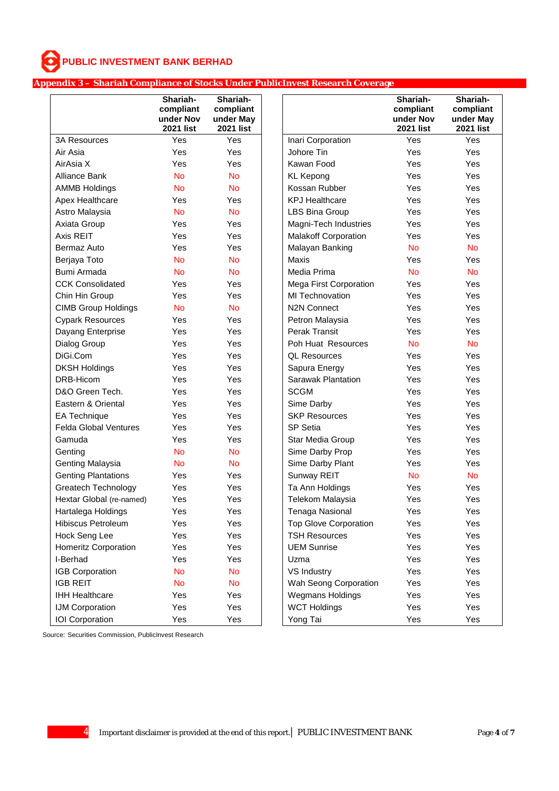### **Appendix 3 – Shariah Compliance of Stocks Under PublicInvest Research Coverage**

|                              | Shariah-<br>compliant<br>under Nov<br><b>2021 list</b> | Shariah-<br>compliant<br>under May<br><b>2021 list</b> |                               | Shariah-<br>compliant<br>under Nov<br><b>2021 list</b> | Shariah-<br>compliant<br>under May<br><b>2021 list</b> |
|------------------------------|--------------------------------------------------------|--------------------------------------------------------|-------------------------------|--------------------------------------------------------|--------------------------------------------------------|
| <b>3A Resources</b>          | Yes                                                    | Yes                                                    | Inari Corporation             | Yes                                                    | Yes                                                    |
| Air Asia                     | Yes                                                    | Yes                                                    | Johore Tin                    | Yes                                                    | Yes                                                    |
| AirAsia X                    | Yes                                                    | Yes                                                    | Kawan Food                    | Yes                                                    | Yes                                                    |
| <b>Alliance Bank</b>         | <b>No</b>                                              | <b>No</b>                                              | <b>KL Kepong</b>              | Yes                                                    | Yes                                                    |
| <b>AMMB Holdings</b>         | <b>No</b>                                              | <b>No</b>                                              | Kossan Rubber                 | Yes                                                    | Yes                                                    |
| Apex Healthcare              | Yes                                                    | Yes                                                    | <b>KPJ Healthcare</b>         | Yes                                                    | Yes                                                    |
| Astro Malaysia               | <b>No</b>                                              | <b>No</b>                                              | <b>LBS Bina Group</b>         | Yes                                                    | Yes                                                    |
| Axiata Group                 | Yes                                                    | Yes                                                    | Magni-Tech Industries         | Yes                                                    | Yes                                                    |
| Axis REIT                    | Yes                                                    | Yes                                                    | <b>Malakoff Corporation</b>   | Yes                                                    | Yes                                                    |
| Bermaz Auto                  | Yes                                                    | Yes                                                    | Malayan Banking               | <b>No</b>                                              | <b>No</b>                                              |
| Berjaya Toto                 | <b>No</b>                                              | <b>No</b>                                              | <b>Maxis</b>                  | Yes                                                    | Yes                                                    |
| Bumi Armada                  | <b>No</b>                                              | <b>No</b>                                              | Media Prima                   | <b>No</b>                                              | <b>No</b>                                              |
| <b>CCK Consolidated</b>      | Yes                                                    | Yes                                                    | <b>Mega First Corporation</b> | Yes                                                    | Yes                                                    |
| Chin Hin Group               | Yes                                                    | Yes                                                    | <b>MI Technovation</b>        | Yes                                                    | Yes                                                    |
| <b>CIMB Group Holdings</b>   | <b>No</b>                                              | <b>No</b>                                              | <b>N2N Connect</b>            | Yes                                                    | Yes                                                    |
| <b>Cypark Resources</b>      | Yes                                                    | Yes                                                    | Petron Malaysia               | Yes                                                    | Yes                                                    |
| Dayang Enterprise            | Yes                                                    | Yes                                                    | Perak Transit                 | Yes                                                    | Yes                                                    |
| Dialog Group                 | Yes                                                    | Yes                                                    | Poh Huat Resources            | <b>No</b>                                              | <b>No</b>                                              |
| DiGi.Com                     | Yes                                                    | Yes                                                    | <b>QL Resources</b>           | Yes                                                    | Yes                                                    |
| <b>DKSH Holdings</b>         | Yes                                                    | Yes                                                    | Sapura Energy                 | Yes                                                    | Yes                                                    |
| DRB-Hicom                    | Yes                                                    | Yes                                                    | Sarawak Plantation            | Yes                                                    | Yes                                                    |
| D&O Green Tech.              | Yes                                                    | Yes                                                    | <b>SCGM</b>                   | Yes                                                    | Yes                                                    |
| Eastern & Oriental           | Yes                                                    | Yes                                                    | Sime Darby                    | Yes                                                    | Yes                                                    |
| <b>EA Technique</b>          | Yes                                                    | Yes                                                    | <b>SKP Resources</b>          | Yes                                                    | Yes                                                    |
| <b>Felda Global Ventures</b> | Yes                                                    | Yes                                                    | SP Setia                      | Yes                                                    | Yes                                                    |
| Gamuda                       | Yes                                                    | Yes                                                    | Star Media Group              | Yes                                                    | Yes                                                    |
| Genting                      | <b>No</b>                                              | <b>No</b>                                              | Sime Darby Prop               | Yes                                                    | Yes                                                    |
| <b>Genting Malaysia</b>      | <b>No</b>                                              | <b>No</b>                                              | Sime Darby Plant              | Yes                                                    | Yes                                                    |
| <b>Genting Plantations</b>   | Yes                                                    | Yes                                                    | Sunway REIT                   | <b>No</b>                                              | <b>No</b>                                              |
| <b>Greatech Technology</b>   | Yes                                                    | Yes                                                    | Ta Ann Holdings               | Yes                                                    | Yes                                                    |
| Hextar Global (re-named)     | Yes                                                    | Yes                                                    | <b>Telekom Malaysia</b>       | Yes                                                    | Yes                                                    |
| Hartalega Holdings           | Yes                                                    | Yes                                                    | Tenaga Nasional               | Yes                                                    | Yes                                                    |
| Hibiscus Petroleum           | Yes                                                    | Yes                                                    | <b>Top Glove Corporation</b>  | Yes                                                    | Yes                                                    |
| Hock Seng Lee                | Yes                                                    | Yes                                                    | <b>TSH Resources</b>          | Yes                                                    | Yes                                                    |
| Homeritz Corporation         | Yes                                                    | Yes                                                    | <b>UEM Sunrise</b>            | Yes                                                    | Yes                                                    |
| I-Berhad                     | Yes                                                    | Yes                                                    | Uzma                          | Yes                                                    | Yes                                                    |
| IGB Corporation              | <b>No</b>                                              | <b>No</b>                                              | VS Industry                   | Yes                                                    | Yes                                                    |
| <b>IGB REIT</b>              | <b>No</b>                                              | <b>No</b>                                              | Wah Seong Corporation         | Yes                                                    | Yes                                                    |
| <b>IHH Healthcare</b>        | Yes                                                    | Yes                                                    | Wegmans Holdings              | Yes                                                    | Yes                                                    |
| IJM Corporation              | Yes                                                    | Yes                                                    | <b>WCT Holdings</b>           | Yes                                                    | Yes                                                    |
| <b>IOI</b> Corporation       | Yes                                                    | Yes                                                    | Yong Tai                      | Yes                                                    | Yes                                                    |

Source: Securities Commission, PublicInvest Research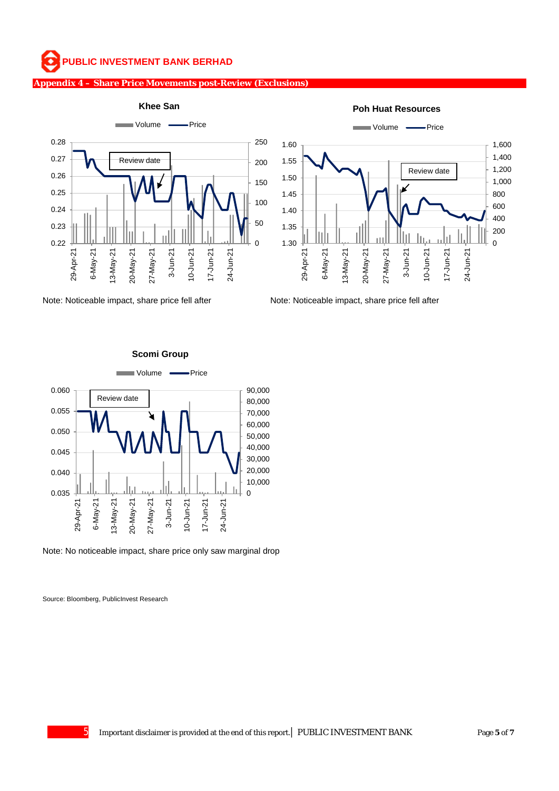#### **Appendix 4 – Share Price Movements post-Review (Exclusions)**



Note: Noticeable impact, share price fell after Note: Noticeable impact, share price fell after

**Poh Huat Resources**





**Scomi Group**

Note: No noticeable impact, share price only saw marginal drop

Source: Bloomberg, PublicInvest Research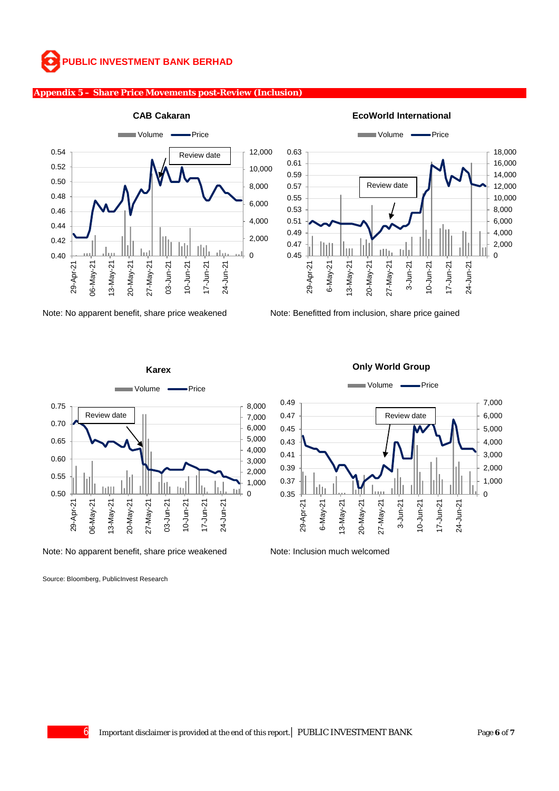### **Appendix 5 – Share Price Movements post-Review (Inclusion)**





**EcoWorld International** 

Note: No apparent benefit, share price weakened Note: Benefitted from inclusion, share price gained



Note: No apparent benefit, share price weakened Note: Inclusion much welcomed

Source: Bloomberg, PublicInvest Research

#### **Only World Group**